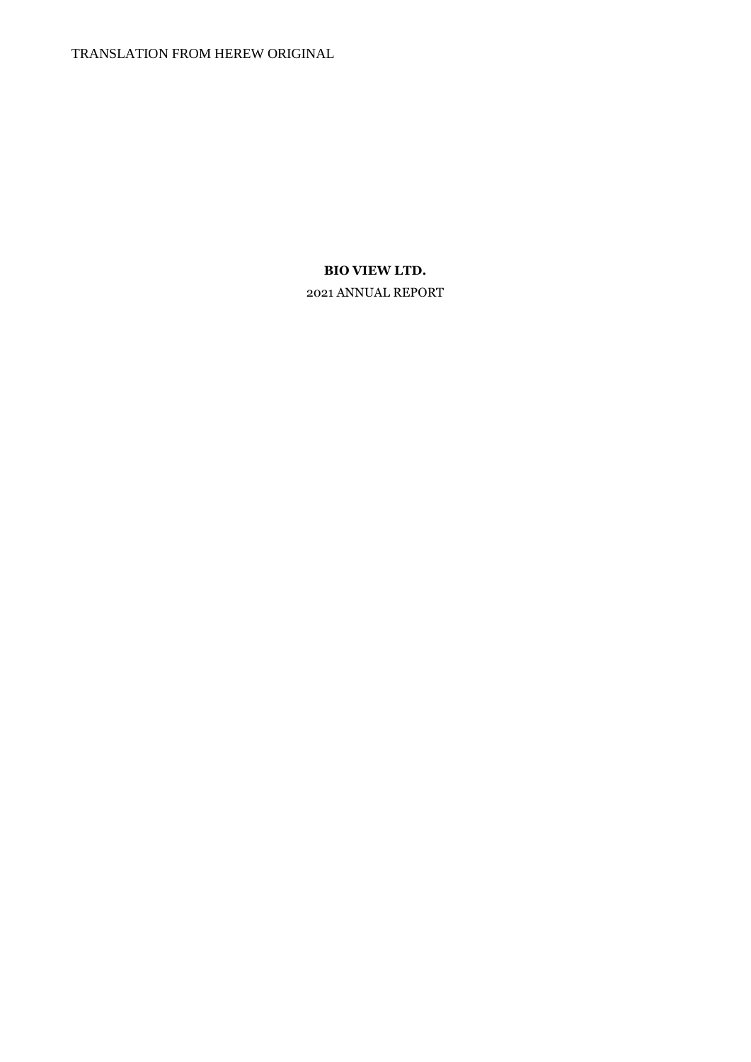TRANSLATION FROM HEREW ORIGINAL

# **BIO VIEW LTD.**

2021 ANNUAL REPORT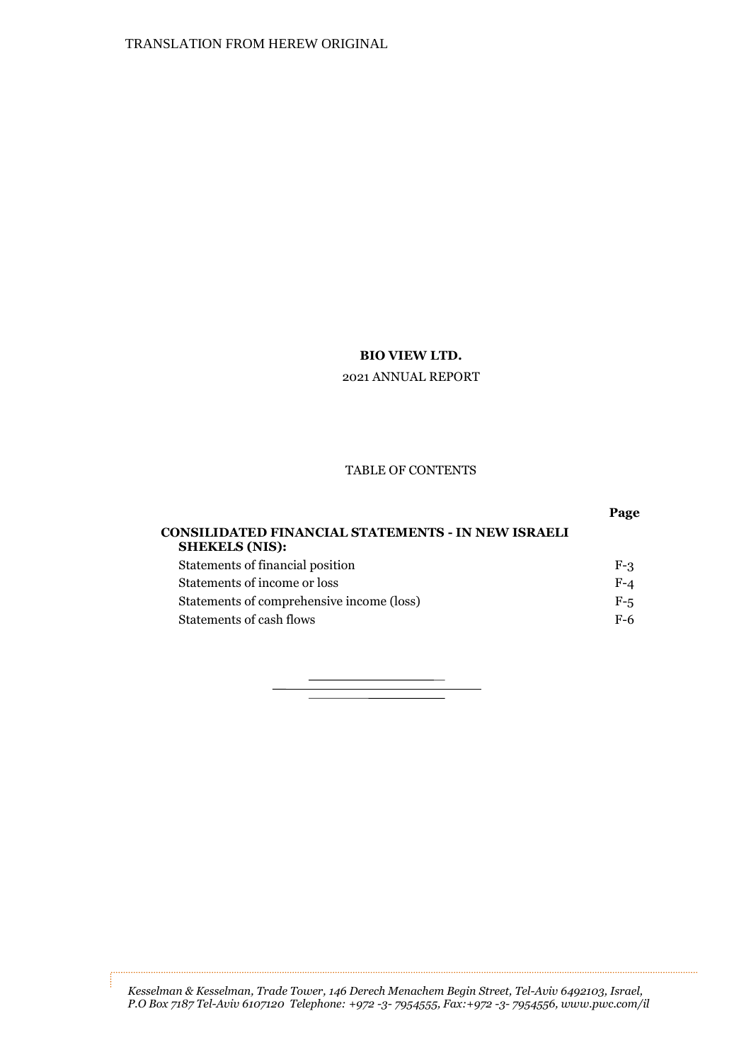2021 ANNUAL REPORT

#### TABLE OF CONTENTS

| <b>CONSILIDATED FINANCIAL STATEMENTS - IN NEW ISRAELI</b><br><b>SHEKELS (NIS):</b> |       |
|------------------------------------------------------------------------------------|-------|
| Statements of financial position                                                   | $F-3$ |
| Statements of income or loss                                                       | $F-4$ |
| Statements of comprehensive income (loss)                                          | $F-5$ |
| Statements of cash flows                                                           | F-6   |
|                                                                                    |       |

*Kesselman & Kesselman, Trade Tower, 146 Derech Menachem Begin Street, Tel-Aviv 6492103, Israel, P.O Box 7187 Tel-Aviv 6107120 Telephone: +972 -3- 7954555, Fax:+972 -3- 7954556, www.pwc.com/il*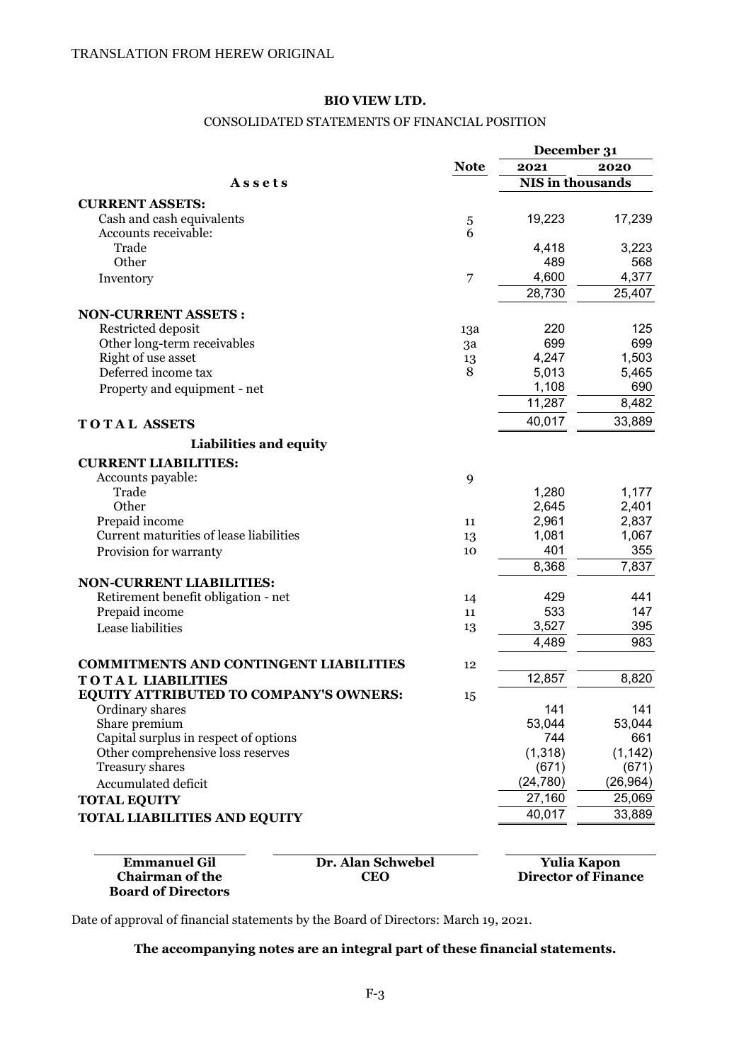#### CONSOLIDATED STATEMENTS OF FINANCIAL POSITION

|                                                   |             | December 31             |           |
|---------------------------------------------------|-------------|-------------------------|-----------|
|                                                   | <b>Note</b> | 2021                    | 2020      |
| Assets                                            |             | <b>NIS</b> in thousands |           |
| <b>CURRENT ASSETS:</b>                            |             |                         |           |
| Cash and cash equivalents                         | 5           | 19,223                  | 17,239    |
| Accounts receivable:                              | 6           |                         |           |
| Trade                                             |             | 4,418                   | 3,223     |
| Other                                             |             | 489                     | 568       |
| Inventory                                         | 7           | 4,600                   | 4,377     |
|                                                   |             | 28,730                  | 25,407    |
| <b>NON-CURRENT ASSETS:</b>                        |             |                         |           |
|                                                   |             | 220                     | 125       |
| Restricted deposit<br>Other long-term receivables | 13a         | 699                     | 699       |
| Right of use asset                                | 3a          | 4,247                   | 1,503     |
| Deferred income tax                               | 13<br>8     | 5,013                   | 5,465     |
|                                                   |             | 1,108                   | 690       |
| Property and equipment - net                      |             | 11,287                  | 8,482     |
| <b>TOTAL ASSETS</b>                               |             | 40,017                  | 33,889    |
| <b>Liabilities and equity</b>                     |             |                         |           |
| <b>CURRENT LIABILITIES:</b>                       |             |                         |           |
| Accounts payable:                                 | 9           |                         |           |
| Trade                                             |             | 1,280                   | 1,177     |
| Other                                             |             | 2,645                   | 2,401     |
| Prepaid income                                    | 11          | 2,961                   | 2,837     |
| Current maturities of lease liabilities           | 13          | 1,081                   | 1,067     |
| Provision for warranty                            | 10          | 401                     | 355       |
|                                                   |             | 8,368                   | 7,837     |
| <b>NON-CURRENT LIABILITIES:</b>                   |             |                         |           |
| Retirement benefit obligation - net               | 14          | 429                     | 441       |
| Prepaid income                                    | 11          | 533                     | 147       |
| Lease liabilities                                 | 13          | 3,527                   | 395       |
|                                                   |             | 4,489                   | 983       |
| <b>COMMITMENTS AND CONTINGENT LIABILITIES</b>     | 12          |                         |           |
| <b>TOTAL LIABILITIES</b>                          |             | 12,857                  | 8,820     |
| <b>EQUITY ATTRIBUTED TO COMPANY'S OWNERS:</b>     |             |                         |           |
| Ordinary shares                                   | 15          | 141                     | 141       |
| Share premium                                     |             | 53,044                  | 53,044    |
| Capital surplus in respect of options             |             | 744                     | 661       |
| Other comprehensive loss reserves                 |             | (1, 318)                | (1, 142)  |
| <b>Treasury shares</b>                            |             | (671)                   | (671)     |
| Accumulated deficit                               |             | (24, 780)               | (26, 964) |
| <b>TOTAL EQUITY</b>                               |             | 27,160                  | 25,069    |
| <b>TOTAL LIABILITIES AND EQUITY</b>               |             | 40,017                  | 33,889    |
|                                                   |             |                         |           |

**Emmanuel Gil br. Alan Schwebel Vulia Kapon**<br> **CEO** Director of Final **Chairman of the Board of Directors**

**Director of Finance** 

Date of approval of financial statements by the Board of Directors: March 19, 2021.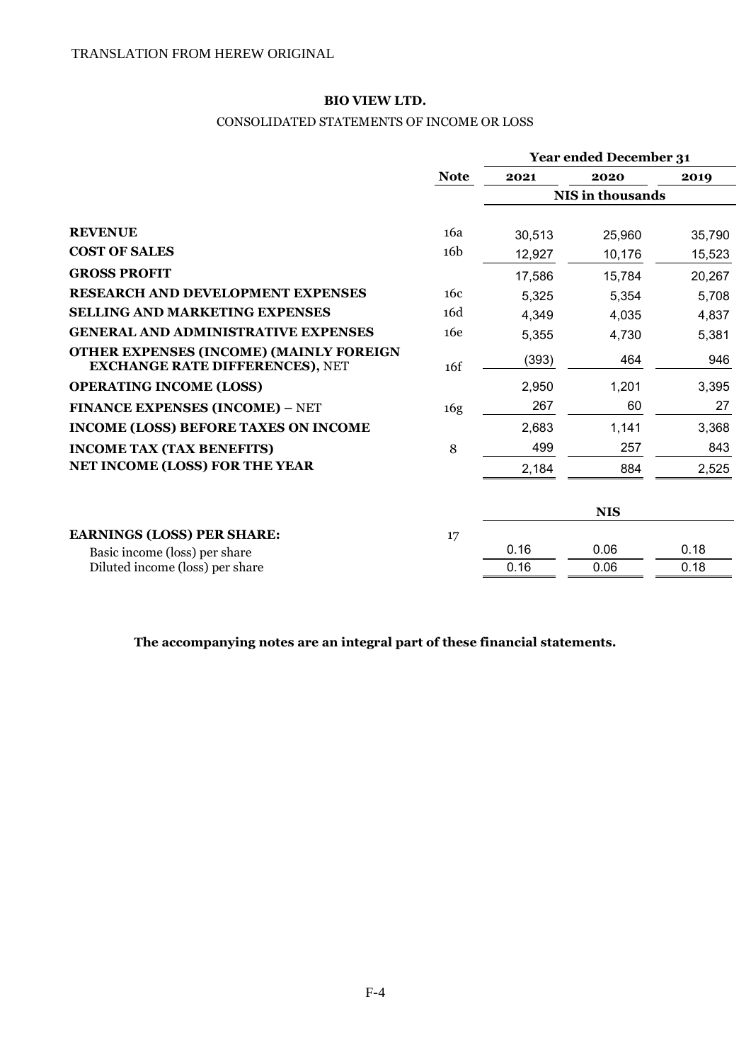## CONSOLIDATED STATEMENTS OF INCOME OR LOSS

|                                                                                   |                 | <b>Year ended December 31</b> |            |        |
|-----------------------------------------------------------------------------------|-----------------|-------------------------------|------------|--------|
|                                                                                   | <b>Note</b>     | 2021                          | 2020       | 2019   |
|                                                                                   |                 | NIS in thousands              |            |        |
|                                                                                   |                 |                               |            |        |
| <b>REVENUE</b>                                                                    | 16a             | 30,513                        | 25,960     | 35,790 |
| <b>COST OF SALES</b>                                                              | 16 <sub>b</sub> | 12,927                        | 10,176     | 15,523 |
| <b>GROSS PROFIT</b>                                                               |                 | 17,586                        | 15,784     | 20,267 |
| <b>RESEARCH AND DEVELOPMENT EXPENSES</b>                                          | 16c             | 5,325                         | 5,354      | 5,708  |
| <b>SELLING AND MARKETING EXPENSES</b>                                             | 16d             | 4,349                         | 4,035      | 4,837  |
| <b>GENERAL AND ADMINISTRATIVE EXPENSES</b>                                        | 16e             | 5,355                         | 4,730      | 5,381  |
| OTHER EXPENSES (INCOME) (MAINLY FOREIGN<br><b>EXCHANGE RATE DIFFERENCES), NET</b> | 16f             | (393)                         | 464        | 946    |
| <b>OPERATING INCOME (LOSS)</b>                                                    |                 | 2,950                         | 1,201      | 3,395  |
| <b>FINANCE EXPENSES (INCOME) - NET</b>                                            | 16g             | 267                           | 60         | 27     |
| <b>INCOME (LOSS) BEFORE TAXES ON INCOME</b>                                       |                 | 2,683                         | 1,141      | 3,368  |
| <b>INCOME TAX (TAX BENEFITS)</b>                                                  | 8               | 499                           | 257        | 843    |
| NET INCOME (LOSS) FOR THE YEAR                                                    |                 | 2,184                         | 884        | 2,525  |
|                                                                                   |                 |                               | <b>NIS</b> |        |
| <b>EARNINGS (LOSS) PER SHARE:</b>                                                 | 17              |                               |            |        |
| Basic income (loss) per share                                                     |                 | 0.16                          | 0.06       | 0.18   |
| Diluted income (loss) per share                                                   |                 | 0.16                          | 0.06       | 0.18   |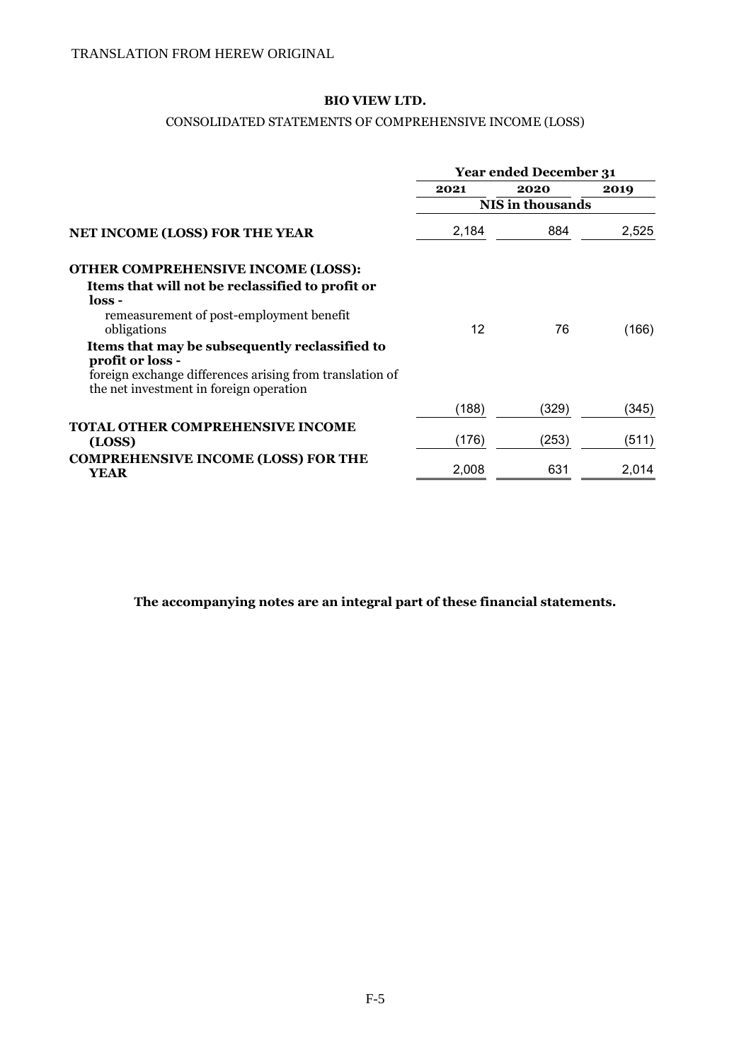#### CONSOLIDATED STATEMENTS OF COMPREHENSIVE INCOME (LOSS)

|                                                                                                     | <b>Year ended December 31</b> |       |       |
|-----------------------------------------------------------------------------------------------------|-------------------------------|-------|-------|
|                                                                                                     | 2021                          | 2020  | 2019  |
|                                                                                                     | <b>NIS</b> in thousands       |       |       |
| <b>NET INCOME (LOSS) FOR THE YEAR</b>                                                               | 2,184                         | 884   | 2,525 |
| <b>OTHER COMPREHENSIVE INCOME (LOSS):</b>                                                           |                               |       |       |
| Items that will not be reclassified to profit or                                                    |                               |       |       |
| loss -                                                                                              |                               |       |       |
| remeasurement of post-employment benefit                                                            |                               |       |       |
| obligations                                                                                         | 12                            | 76    | (166) |
| Items that may be subsequently reclassified to                                                      |                               |       |       |
| profit or loss -                                                                                    |                               |       |       |
| foreign exchange differences arising from translation of<br>the net investment in foreign operation |                               |       |       |
|                                                                                                     | (188)                         | (329) | (345) |
| <b>TOTAL OTHER COMPREHENSIVE INCOME</b>                                                             |                               |       |       |
| (LOSS)                                                                                              | (176)                         | (253) | (511) |
| <b>COMPREHENSIVE INCOME (LOSS) FOR THE</b>                                                          |                               |       |       |
| <b>YEAR</b>                                                                                         | 2,008                         | 631   | 2,014 |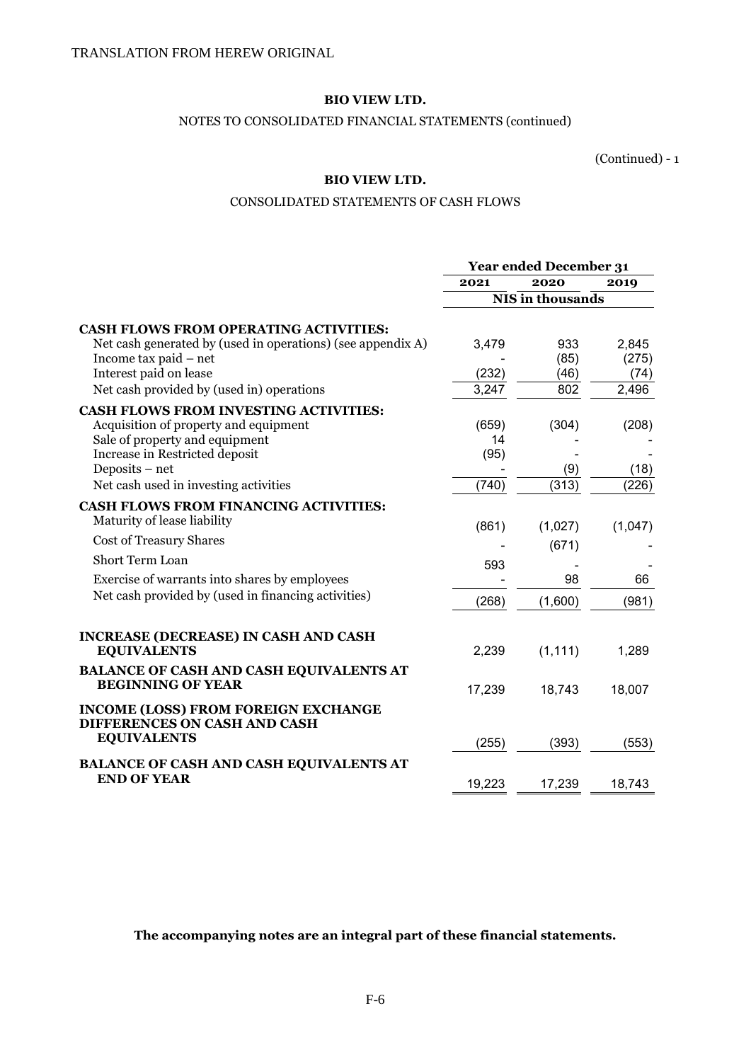#### NOTES TO CONSOLIDATED FINANCIAL STATEMENTS (continued)

(Continued) - 1

## **BIO VIEW LTD.**

#### CONSOLIDATED STATEMENTS OF CASH FLOWS

|                                                             | <b>Year ended December 31</b> |          |         |
|-------------------------------------------------------------|-------------------------------|----------|---------|
|                                                             | 2021                          | 2020     | 2019    |
|                                                             | NIS in thousands              |          |         |
| <b>CASH FLOWS FROM OPERATING ACTIVITIES:</b>                |                               |          |         |
| Net cash generated by (used in operations) (see appendix A) | 3,479                         | 933      | 2,845   |
| Income tax paid - net                                       |                               | (85)     | (275)   |
| Interest paid on lease                                      | (232)                         | (46)     | (74)    |
| Net cash provided by (used in) operations                   | 3,247                         | 802      | 2,496   |
| <b>CASH FLOWS FROM INVESTING ACTIVITIES:</b>                |                               |          |         |
| Acquisition of property and equipment                       | (659)                         | (304)    | (208)   |
| Sale of property and equipment                              | 14                            |          |         |
| Increase in Restricted deposit                              | (95)                          |          |         |
| Deposits – net                                              |                               | (9)      | (18)    |
| Net cash used in investing activities                       | (740)                         | (313)    | (226)   |
| <b>CASH FLOWS FROM FINANCING ACTIVITIES:</b>                |                               |          |         |
| Maturity of lease liability                                 | (861)                         | (1,027)  | (1,047) |
| Cost of Treasury Shares                                     |                               | (671)    |         |
| <b>Short Term Loan</b>                                      | 593                           |          |         |
| Exercise of warrants into shares by employees               |                               | 98       | 66      |
| Net cash provided by (used in financing activities)         | (268)                         | (1,600)  | (981)   |
|                                                             |                               |          |         |
| <b>INCREASE (DECREASE) IN CASH AND CASH</b>                 |                               |          |         |
| <b>EQUIVALENTS</b>                                          | 2,239                         | (1, 111) | 1,289   |
| <b>BALANCE OF CASH AND CASH EQUIVALENTS AT</b>              |                               |          |         |
| <b>BEGINNING OF YEAR</b>                                    | 17,239                        | 18,743   | 18,007  |
| <b>INCOME (LOSS) FROM FOREIGN EXCHANGE</b>                  |                               |          |         |
| DIFFERENCES ON CASH AND CASH                                |                               |          |         |
| <b>EQUIVALENTS</b>                                          | (255)                         | (393)    | (553)   |
| <b>BALANCE OF CASH AND CASH EQUIVALENTS AT</b>              |                               |          |         |
| <b>END OF YEAR</b>                                          | 19,223                        | 17,239   | 18,743  |